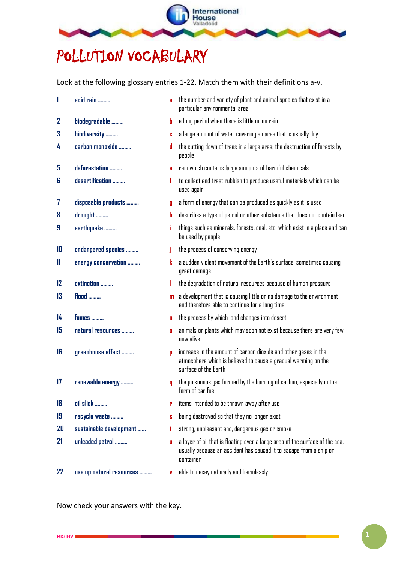

# Look at the following glossary entries 1-22. Match them with their definitions a-v.

| 1              | acid rain                | a. | the number and variety of plant and animal species that exist in a<br>particular environmental area                                                             |
|----------------|--------------------------|----|-----------------------------------------------------------------------------------------------------------------------------------------------------------------|
| $\overline{2}$ | biodegradable            | Ь  | a long period when there is little or no rain                                                                                                                   |
| 3              | biodiversity             | c  | a large amount of water covering an area that is usually dry                                                                                                    |
| 4              | carbon monoxide          | d  | the cutting down of trees in a large area; the destruction of forests by<br>people                                                                              |
| 5              | deforestation            | e. | rain which contains large amounts of harmful chemicals                                                                                                          |
| В              | desertification          | f  | to collect and treat rubbish to produce useful materials which can be<br>used again                                                                             |
| 7              | disposable products      | q  | a form of energy that can be produced as quickly as it is used                                                                                                  |
| 8              | drought                  | h  | describes a type of petrol or other substance that does not contain lead                                                                                        |
| 9              | earthquake               | i. | things such as minerals, forests, coal, etc. which exist in a place and can<br>be used by people                                                                |
| 10             | endangered species       | i  | the process of conserving energy                                                                                                                                |
| $\mathbf{11}$  | energy conservation      | k  | a sudden violent movement of the Earth's surface, sometimes causing<br>great damage                                                                             |
| 12             | extinction               | L  | the degradation of natural resources because of human pressure                                                                                                  |
| 13             | flood                    | m  | a development that is causing little or no damage to the environment<br>and therefore able to continue for a long time                                          |
| 14             | fumes                    | n  | the process by which land changes into desert                                                                                                                   |
| 15             | natural resources        | o  | animals or plants which may soon not exist because there are very few<br>now alive                                                                              |
| 16             | greenhouse effect        | D  | increase in the amount of carbon dioxide and other gases in the<br>atmosphere which is believed to cause a gradual warming on the<br>surface of the Earth       |
| 17             | renewable energy         | a  | the poisonous gas formed by the burning of carbon, especially in the<br>form of car fuel                                                                        |
| 18             | oil slick                | r  | items intended to be thrown away after use                                                                                                                      |
| 19             | recycle waste            | s  | being destroyed so that they no longer exist                                                                                                                    |
| 20             | sustainable development  | t  | strong, unpleasant and, dangerous gas or smoke                                                                                                                  |
| 21             | unleaded petrol          | Ш  | a layer of oil that is floating over a large area of the surface of the sea,<br>usually because an accident has caused it to escape from a ship or<br>container |
| 22             | use up natural resources | V  | able to decay naturally and harmlessly                                                                                                                          |

Now check your answers with the key.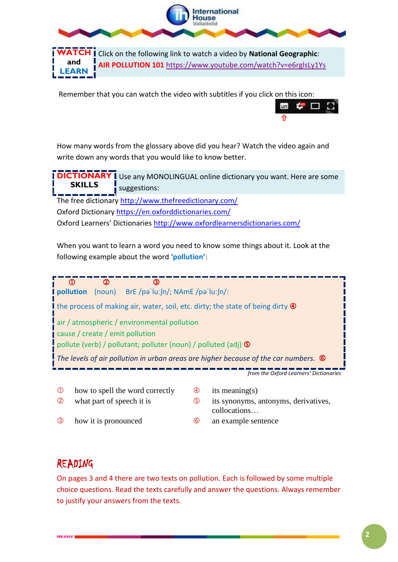

Remember that you can watch the video with subtitles if you click on this icon:

 $\Box$ ↑

How many words from the glossary above did you hear? Watch the video again and write down any words that you would like to know better.

**DICTIONARY** | Use any MONOLINGUAL online dictionary you want. Here are some **SKILLS** suggestions:

The free dictionary<http://www.thefreedictionary.com/> Oxford Dictionary<https://en.oxforddictionaries.com/> Oxford Learners' Dictionaries <http://www.oxfordlearnersdictionaries.com/>

When you want to learn a word you need to know some things about it. Look at the following example about the word '**pollution'**:



- $\circled{1}$  how to spell the word correctly  $\circled{4}$  its meaning(s)
- $\oslash$  what part of speech it is  $\oslash$  its synonyms, antonyms, derivatives,
- 
- 
- collocations…
- 
- **3** how it is pronounced **6** an example sentence

## READING

On pages 3 and 4 there are two texts on pollution. Each is followed by some multiple choice questions. Read the texts carefully and answer the questions. Always remember to justify your answers from the texts.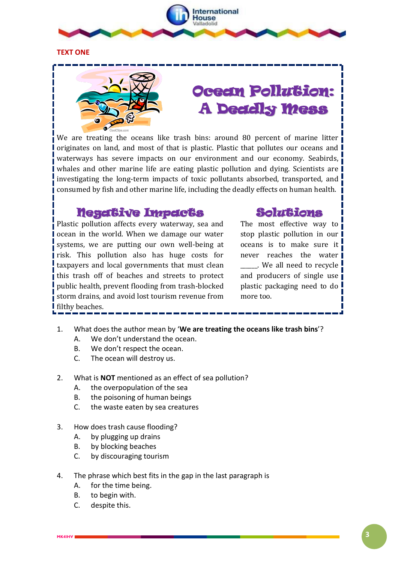**TEXT ONE**



# Ocean Pollution: A Deadly Mess

We are treating the oceans like trash bins: around 80 percent of marine litter originates on land, and most of that is plastic. Plastic that pollutes our oceans and waterways has severe impacts on our environment and our economy. Seabirds, whales and other marine life are eating plastic pollution and dying. Scientists are l investigating the long-term impacts of toxic pollutants absorbed, transported, and consumed by fish and other marine life, including the deadly effects on human health.

nternational ouse

### Negative Impacts Solutions

Plastic pollution affects every waterway, sea and ocean in the world. When we damage our water systems, we are putting our own well-being at risk. This pollution also has huge costs for taxpayers and local governments that must clean this trash off of beaches and streets to protect public health, prevent flooding from trash-blocked storm drains, and avoid lost tourism revenue from filthy beaches.

The most effective way to stop plastic pollution in our oceans is to make sure it never reaches the water \_\_\_\_\_\_. We all need to recycle and producers of single use plastic packaging need to do more too.

- 1. What does the author mean by '**We are treating the oceans like trash bins**'?
	- A. We don't understand the ocean.
	- B. We don't respect the ocean.
	- C. The ocean will destroy us.
- 2. What is **NOT** mentioned as an effect of sea pollution?
	- A. the overpopulation of the sea
	- B. the poisoning of human beings
	- C. the waste eaten by sea creatures
- 3. How does trash cause flooding?
	- A. by plugging up drains
	- B. by blocking beaches
	- C. by discouraging tourism
- 4. The phrase which best fits in the gap in the last paragraph is
	- A. for the time being.
	- B. to begin with.
	- C. despite this.

**MK4IHV 3**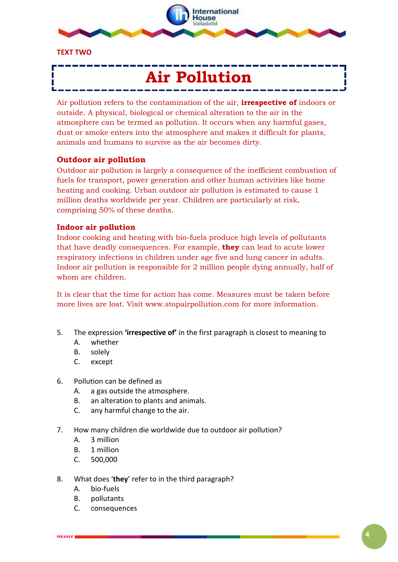

# **Air Pollution**

nternational ouse

Air pollution refers to the contamination of the air, **irrespective of** indoors or outside. A physical, biological or chemical alteration to the air in the atmosphere can be termed as pollution. It occurs when any harmful gases, dust or smoke enters into the atmosphere and makes it difficult for plants, animals and humans to survive as the air becomes dirty.

### **Outdoor air pollution**

Outdoor air pollution is largely a consequence of the inefficient combustion of fuels for transport, power generation and other human activities like home heating and cooking. Urban outdoor air pollution is estimated to cause 1 million deaths worldwide per year. Children are particularly at risk, comprising 50% of these deaths.

### **Indoor air pollution**

Indoor cooking and heating with bio-fuels produce high levels of pollutants that have deadly consequences. For example, **they** can lead to acute lower respiratory infections in children under age five and lung cancer in adults. Indoor air pollution is responsible for 2 million people dying annually, half of whom are children.

It is clear that the time for action has come. Measures must be taken before more lives are lost. Visit www.stopairpollution.com for more information.

- 5. The expression **'irrespective of'** in the first paragraph is closest to meaning to
	- A. whether
	- B. solely
	- C. except
- 6. Pollution can be defined as
	- A. a gas outside the atmosphere.
	- B. an alteration to plants and animals.
	- C. any harmful change to the air.
- 7. How many children die worldwide due to outdoor air pollution?
	- A. 3 million
	- B. 1 million
	- C. 500,000
- 8. What does '**they**' refer to in the third paragraph?
	- A. bio-fuels
	- B. pollutants
	- C. consequences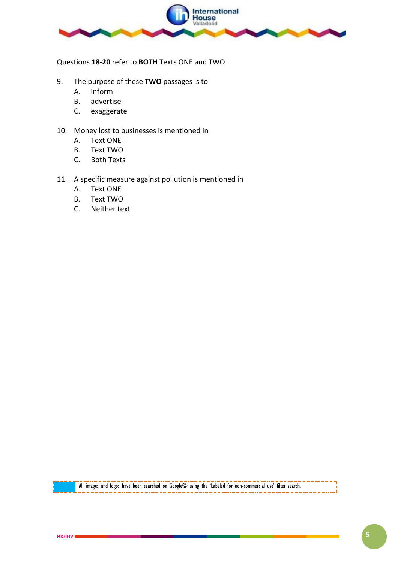

#### Questions **18-20** refer to **BOTH** Texts ONE and TWO

- 9. The purpose of these **TWO** passages is to
	- A. inform<br>B. adverti
	- advertise
	- C. exaggerate
- 10. Money lost to businesses is mentioned in
	- A. Text ONE
	- B. Text TWO
	- C. Both Texts
- 11. A specific measure against pollution is mentioned in
	- A. Text ONE
	- B. Text TWO
	- C. Neither text

All images and logos have been searched on Google© using the 'Labeled for non-commercial use' filter search.